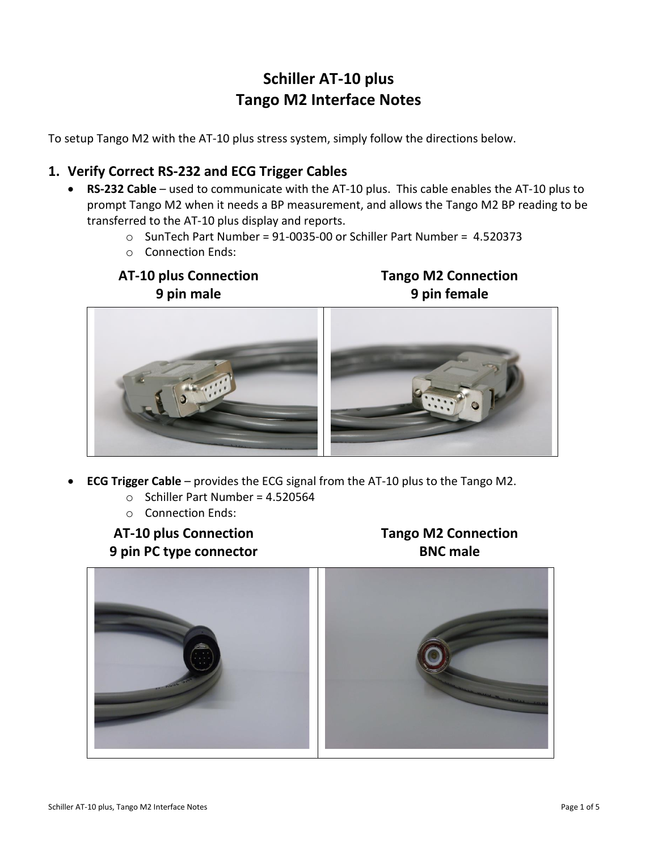# **Schiller AT-10 plus Tango M2 Interface Notes**

To setup Tango M2 with the AT-10 plus stress system, simply follow the directions below.

# **1. Verify Correct RS-232 and ECG Trigger Cables**

- **RS-232 Cable** used to communicate with the AT-10 plus. This cable enables the AT-10 plus to prompt Tango M2 when it needs a BP measurement, and allows the Tango M2 BP reading to be transferred to the AT-10 plus display and reports.
	- o SunTech Part Number = 91-0035-00 or Schiller Part Number = 4.520373
	- o Connection Ends:

# **AT-10 plus Connection 9 pin male**

**Tango M2 Connection 9 pin female**



- **ECG Trigger Cable** provides the ECG signal from the AT-10 plus to the Tango M2.
	- $\circ$  Schiller Part Number = 4.520564
	- o Connection Ends:

**AT-10 plus Connection 9 pin PC type connector** **Tango M2 Connection BNC male**

![](_page_0_Picture_14.jpeg)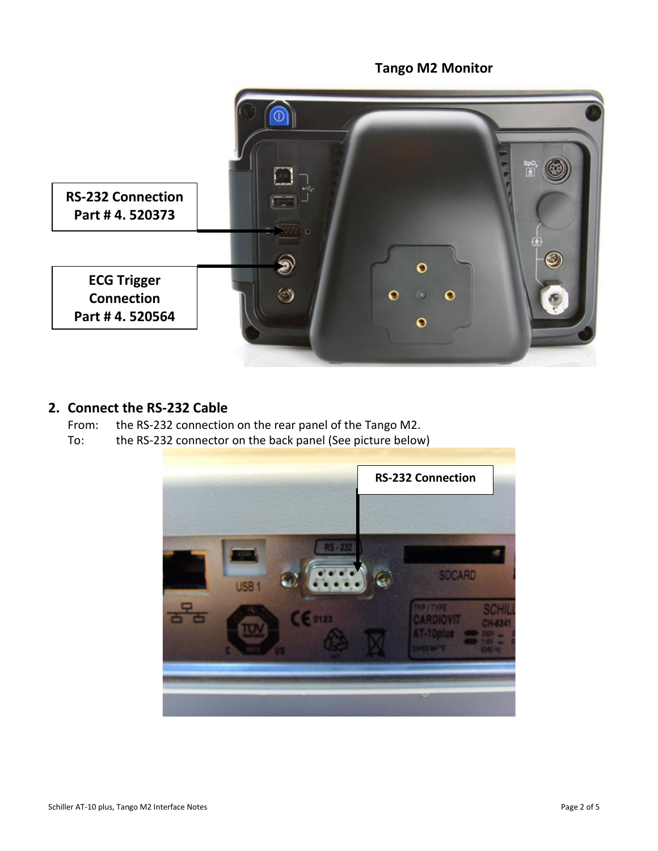# **RS-232 Connection Part # 4. 520373**  $\odot$  $\bullet$  $\bullet$ **ECG Trigger**   $\circledcirc$ **Connection**  $\bullet$  $\circ$  $\mathbf{o}$ **Part # 4. 520564**  $\bullet$

**Tango M2 Monitor**

#### **2. Connect the RS-232 Cable**

From: the RS-232 connection on the rear panel of the Tango M2.

To: the RS-232 connector on the back panel (See picture below)

![](_page_1_Picture_4.jpeg)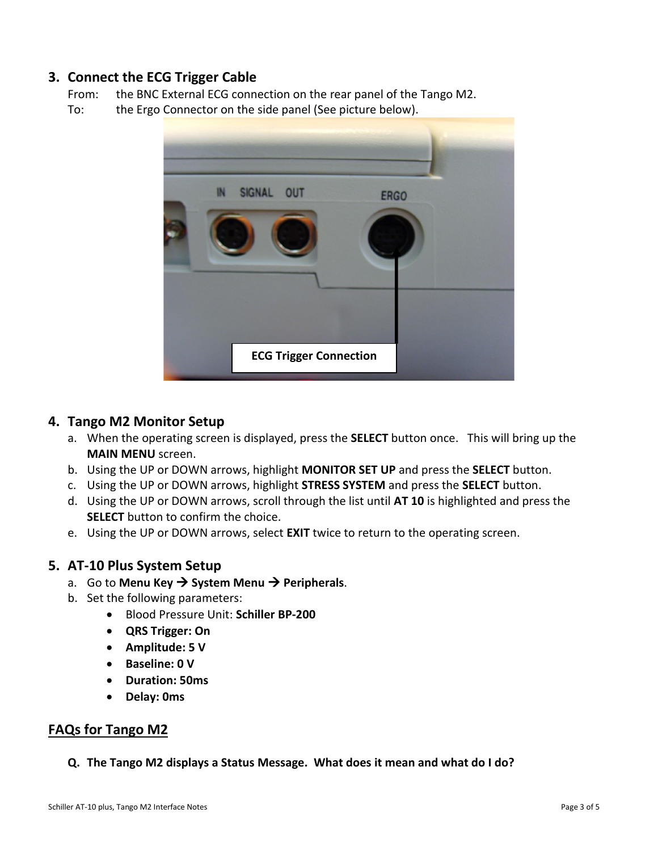## **3. Connect the ECG Trigger Cable**

From: the BNC External ECG connection on the rear panel of the Tango M2.

To: the Ergo Connector on the side panel (See picture below).

![](_page_2_Picture_3.jpeg)

#### **4. Tango M2 Monitor Setup**

- a. When the operating screen is displayed, press the **SELECT** button once. This will bring up the **MAIN MENU** screen.
- b. Using the UP or DOWN arrows, highlight **MONITOR SET UP** and press the **SELECT** button.
- c. Using the UP or DOWN arrows, highlight **STRESS SYSTEM** and press the **SELECT** button.
- d. Using the UP or DOWN arrows, scroll through the list until **AT 10** is highlighted and press the **SELECT** button to confirm the choice.
- e. Using the UP or DOWN arrows, select **EXIT** twice to return to the operating screen.

## **5. AT-10 Plus System Setup**

- a. Go to Menu Key → System Menu → Peripherals.
- b. Set the following parameters:
	- Blood Pressure Unit: **Schiller BP-200**
	- **QRS Trigger: On**
	- **Amplitude: 5 V**
	- **Baseline: 0 V**
	- **Duration: 50ms**
	- **Delay: 0ms**

#### **FAQs for Tango M2**

**Q. The Tango M2 displays a Status Message. What does it mean and what do I do?**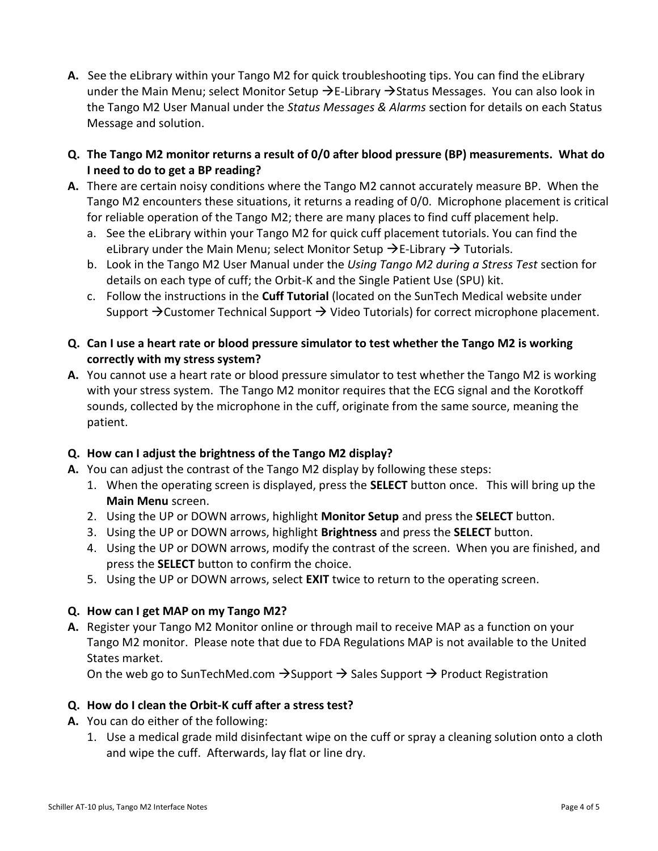- **A.** See the eLibrary within your Tango M2 for quick troubleshooting tips. You can find the eLibrary under the Main Menu; select Monitor Setup  $\rightarrow$  E-Library  $\rightarrow$  Status Messages. You can also look in the Tango M2 User Manual under the *Status Messages & Alarms* section for details on each Status Message and solution.
- **Q. The Tango M2 monitor returns a result of 0/0 after blood pressure (BP) measurements. What do I need to do to get a BP reading?**
- **A.** There are certain noisy conditions where the Tango M2 cannot accurately measure BP. When the Tango M2 encounters these situations, it returns a reading of 0/0. Microphone placement is critical for reliable operation of the Tango M2; there are many places to find cuff placement help.
	- a. See the eLibrary within your Tango M2 for quick cuff placement tutorials. You can find the eLibrary under the Main Menu; select Monitor Setup  $\rightarrow$  E-Library  $\rightarrow$  Tutorials.
	- b. Look in the Tango M2 User Manual under the *Using Tango M2 during a Stress Test* section for details on each type of cuff; the Orbit-K and the Single Patient Use (SPU) kit.
	- c. Follow the instructions in the **Cuff Tutorial** (located on the SunTech Medical website under Support  $\rightarrow$  Customer Technical Support  $\rightarrow$  Video Tutorials) for correct microphone placement.
- **Q. Can I use a heart rate or blood pressure simulator to test whether the Tango M2 is working correctly with my stress system?**
- **A.** You cannot use a heart rate or blood pressure simulator to test whether the Tango M2 is working with your stress system. The Tango M2 monitor requires that the ECG signal and the Korotkoff sounds, collected by the microphone in the cuff, originate from the same source, meaning the patient.

#### **Q. How can I adjust the brightness of the Tango M2 display?**

- **A.** You can adjust the contrast of the Tango M2 display by following these steps:
	- 1. When the operating screen is displayed, press the **SELECT** button once. This will bring up the **Main Menu** screen.
	- 2. Using the UP or DOWN arrows, highlight **Monitor Setup** and press the **SELECT** button.
	- 3. Using the UP or DOWN arrows, highlight **Brightness** and press the **SELECT** button.
	- 4. Using the UP or DOWN arrows, modify the contrast of the screen. When you are finished, and press the **SELECT** button to confirm the choice.
	- 5. Using the UP or DOWN arrows, select **EXIT** twice to return to the operating screen.

## **Q. How can I get MAP on my Tango M2?**

**A.** Register your Tango M2 Monitor online or through mail to receive MAP as a function on your Tango M2 monitor. Please note that due to FDA Regulations MAP is not available to the United States market.

On the web go to SunTechMed.com  $\rightarrow$  Support  $\rightarrow$  Sales Support  $\rightarrow$  Product Registration

## **Q. How do I clean the Orbit-K cuff after a stress test?**

- **A.** You can do either of the following:
	- 1. Use a medical grade mild disinfectant wipe on the cuff or spray a cleaning solution onto a cloth and wipe the cuff. Afterwards, lay flat or line dry.